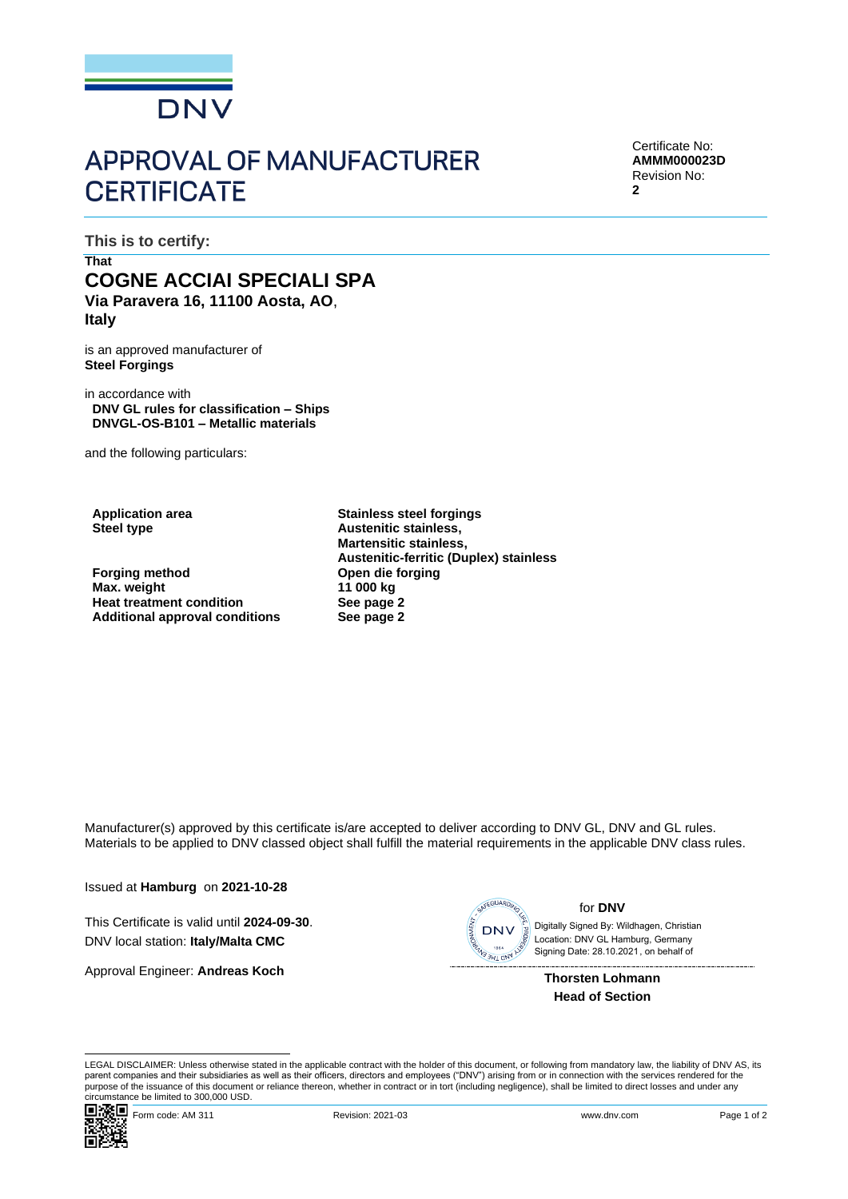

## **APPROVAL OF MANUFACTURER CERTIFICATE**

Certificate No: **AMMM000023D** Revision No: **2**

**This is to certify:**

## **That COGNE ACCIAI SPECIALI SPA Via Paravera 16, 11100 Aosta, AO**, **Italy**

is an approved manufacturer of **Steel Forgings**

in accordance with **DNV GL rules for classification – Ships DNVGL-OS-B101 – Metallic materials**

and the following particulars:

**Forging method Open die forging Max.** weight **Heat treatment condition endulleries See page 2**<br> **Additional approval conditions See page 2 Additional approval conditions** 

**Application area Stainless steel forgings Steel type Austenitic stainless, Martensitic stainless, Austenitic-ferritic (Duplex) stainless**

Manufacturer(s) approved by this certificate is/are accepted to deliver according to DNV GL, DNV and GL rules. Materials to be applied to DNV classed object shall fulfill the material requirements in the applicable DNV class rules.

Issued at **Hamburg** on **2021-10-28**

This Certificate is valid until **2024-09-30**. DNV local station: **Italy/Malta CMC**

Approval Engineer: **Andreas Koch**



for **DNV**

 Signing Date: 28.10.2021 , on behalf ofDigitally Signed By: Wildhagen, Christian Location: DNV GL Hamburg, Germany

> **Thorsten Lohmann Head of Section**

LEGAL DISCLAIMER: Unless otherwise stated in the applicable contract with the holder of this document, or following from mandatory law, the liability of DNV AS, its parent companies and their subsidiaries as well as their officers, directors and employees ("DNV") arising from or in connection with the services rendered for the purpose of the issuance of this document or reliance thereon, whether in contract or in tort (including negligence), shall be limited to direct losses and under any circumstance be limited to 300,000 USD.